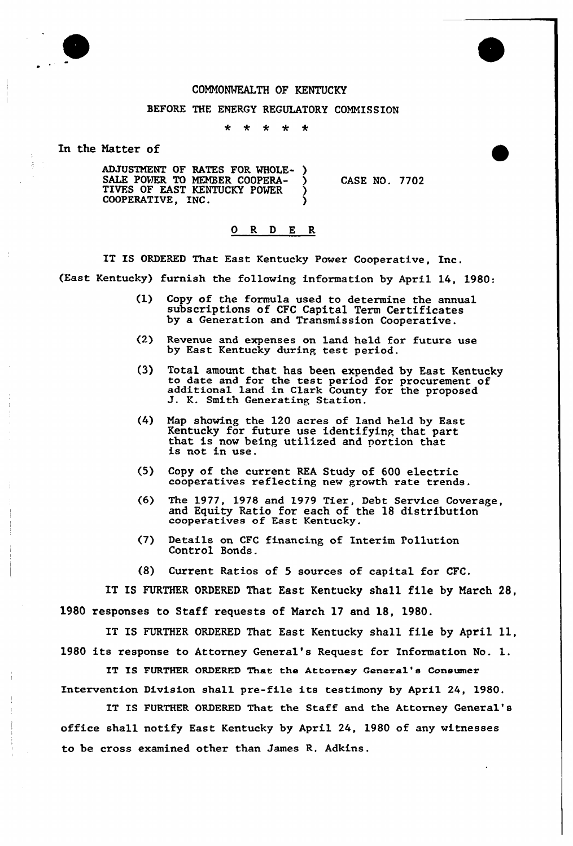

## COMMONWEALTH OF KENTUCKY

## BEFORE THE ENERGY REGULATORY COMMISSION

 $\star$  $\ddot{\textbf{r}}$  $\star$  $\star$  $\star$ 

In the Hatter of

ADJUSTMENT OF RATES FOR WHOLE-SALE POWER TO MEMBER COOPERA- ) TIVES OF EAST KENTUCKY POWER ) COOPERATIVE, INC. ) CASE NO. 7702

## 0 R <sup>D</sup> E R

IT IS ORDERED That East Kentucky Power Cooperative, Inc.

(East Kentucky) furnish the following information by April 14, 1980:

- (1) Copy of the formula used to determine the annua subscriptions of CFC Capital Term Certificate by a Generation and Transmission Cooperative.
- (2} Revenue and expenses on land held for future use by East Kentucky during test period.
- (3} Total amount that has been expended by East Kentucky to date and for the test period for procurement of additional land in Clark County for the proposed J. K. Smith Generating Station.
- (4) Map showing the 120 acres of land held by East that is now being utilized and portion that is not in use.
- (5) Copy of the current REA Study of 600 electric cooperatives reflecting new growth rate trends.
- (6) The 1977, 1978 and 1979 Tier, Debt Service Coverage, and Equity Ratio for each of the <sup>18</sup> distribution cooperatives of East Kentucky.
- (7) Details on CFC financing of Interim Pollution Control Bonds.
- (8) Current Ratios of 5 sources of capital for CFC.

IT IS FURTHER ORDERED That East Kentucky shall file by March 28, 1980 responses to Staff requests of March 17 and 18, 1980.

IT IS FURTHER ORDERED That East Kentucky shall file by April 11, <sup>1980</sup> its response to Attorney General's Request for Information No. l.

IT IS FURTHER ORDERFD That the Attorney Cenere1's Consumer Intervention Division shall pre-file its testimony by April 24, 1980.

IT IS FURTHER ORDERED That the Staff and the Attorney General's office shall notify East Kentucky by April 24, 1980 of any witnesses to be cross examined other than James R. Adkins.